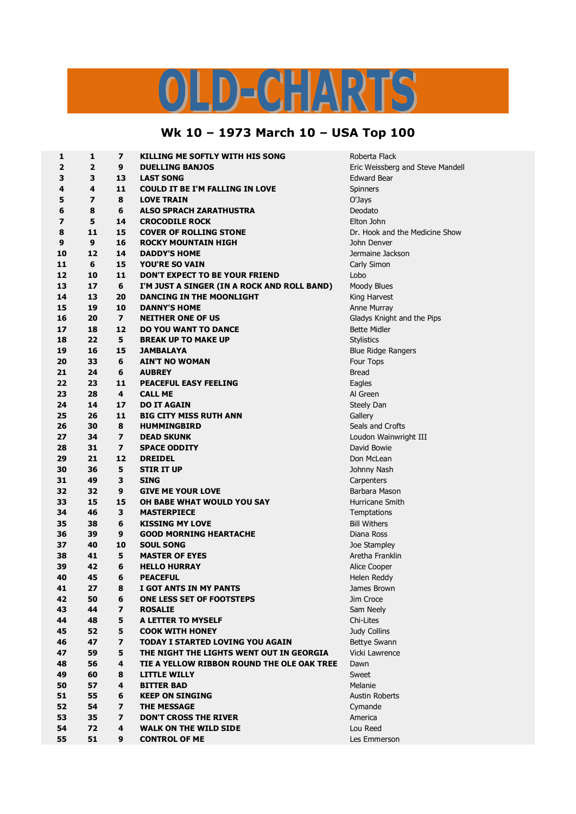## LD-CHARTS  $\overline{U}$

## **Wk 10 – 1973 March 10 – USA Top 100**

| $\mathbf 1$             | $\mathbf{1}$   | $\overline{\mathbf{z}}$ | <b>KILLING ME SOFTLY WITH HIS SONG</b>      | Roberta Flack                    |
|-------------------------|----------------|-------------------------|---------------------------------------------|----------------------------------|
| $\overline{\mathbf{2}}$ | $\overline{2}$ | 9                       | <b>DUELLING BANJOS</b>                      | Eric Weissberg and Steve Mandell |
| 3                       | 3              | 13                      | <b>LAST SONG</b>                            | <b>Edward Bear</b>               |
| 4                       | 4              | 11                      | <b>COULD IT BE I'M FALLING IN LOVE</b>      | <b>Spinners</b>                  |
| 5                       | 7              | 8                       | <b>LOVE TRAIN</b>                           | O'Jays                           |
| 6                       | 8              | 6                       | <b>ALSO SPRACH ZARATHUSTRA</b>              | Deodato                          |
| $\overline{ }$          | 5              | 14                      | <b>CROCODILE ROCK</b>                       | Elton John                       |
| 8                       | 11             | 15                      | <b>COVER OF ROLLING STONE</b>               | Dr. Hook and the Medicine Show   |
| 9                       | 9              | 16                      | <b>ROCKY MOUNTAIN HIGH</b>                  | John Denver                      |
| 10                      | 12             | 14                      | <b>DADDY'S HOME</b>                         | Jermaine Jackson                 |
| 11                      | 6              | 15                      | <b>YOU'RE SO VAIN</b>                       | Carly Simon                      |
| 12                      | 10             | 11                      | <b>DON'T EXPECT TO BE YOUR FRIEND</b>       | Lobo                             |
| 13                      | 17             | 6                       | I'M JUST A SINGER (IN A ROCK AND ROLL BAND) | Moody Blues                      |
| 14                      | 13             | 20                      | DANCING IN THE MOONLIGHT                    | King Harvest                     |
| 15                      | 19             | 10                      | <b>DANNY'S HOME</b>                         | Anne Murray                      |
| 16                      | 20             | $\overline{\mathbf{z}}$ | <b>NEITHER ONE OF US</b>                    | Gladys Knight and the Pips       |
| 17                      | 18             | 12                      | <b>DO YOU WANT TO DANCE</b>                 | <b>Bette Midler</b>              |
| 18                      | 22             | 5                       | <b>BREAK UP TO MAKE UP</b>                  | <b>Stylistics</b>                |
| 19                      | 16             | 15                      | <b>JAMBALAYA</b>                            | <b>Blue Ridge Rangers</b>        |
| 20                      | 33             | 6                       | <b>AIN'T NO WOMAN</b>                       | Four Tops                        |
| 21                      | 24             | 6                       | <b>AUBREY</b>                               | <b>Bread</b>                     |
| 22                      | 23             | 11                      | PEACEFUL EASY FEELING                       | Eagles                           |
| 23                      | 28             | 4                       | <b>CALL ME</b>                              | Al Green                         |
| 24                      | 14             | 17                      | <b>DO IT AGAIN</b>                          | Steely Dan                       |
| 25                      | 26             | 11                      | <b>BIG CITY MISS RUTH ANN</b>               | Gallery                          |
| 26                      | 30             | 8                       | <b>HUMMINGBIRD</b>                          | Seals and Crofts                 |
| 27                      | 34             | $\overline{ }$          | <b>DEAD SKUNK</b>                           | Loudon Wainwright III            |
| 28                      | 31             | $\overline{ }$          | <b>SPACE ODDITY</b>                         | David Bowie                      |
| 29                      | 21             | 12                      | <b>DREIDEL</b>                              | Don McLean                       |
| 30                      | 36             | 5                       | <b>STIR IT UP</b>                           | Johnny Nash                      |
| 31                      | 49             | 3                       | <b>SING</b>                                 | Carpenters                       |
| 32                      | 32             | 9                       | <b>GIVE ME YOUR LOVE</b>                    | Barbara Mason                    |
| 33                      | 15             | 15                      | OH BABE WHAT WOULD YOU SAY                  | Hurricane Smith                  |
| 34                      | 46             | 3                       | <b>MASTERPIECE</b>                          | Temptations                      |
| 35                      | 38             | 6                       | <b>KISSING MY LOVE</b>                      | <b>Bill Withers</b>              |
| 36                      | 39             | 9                       | <b>GOOD MORNING HEARTACHE</b>               | Diana Ross                       |
| 37                      | 40             | 10                      | <b>SOUL SONG</b>                            | Joe Stampley                     |
| 38                      | 41             | 5                       | <b>MASTER OF EYES</b>                       | Aretha Franklin                  |
| 39                      | 42             | 6                       | <b>HELLO HURRAY</b>                         | Alice Cooper                     |
| 40                      | 45             | 6                       | <b>PEACEFUL</b>                             | Helen Reddy                      |
| 41                      | 27             | 8                       | I GOT ANTS IN MY PANTS                      | James Brown                      |
| 42                      | 50             | 6                       | ONE LESS SET OF FOOTSTEPS                   | Jim Croce                        |
| 43                      | 44             | $\overline{\mathbf{z}}$ | <b>ROSALIE</b>                              | Sam Neely                        |
| 44                      | 48             | 5                       | A LETTER TO MYSELF                          | Chi-Lites                        |
| 45                      | 52             | 5                       | <b>COOK WITH HONEY</b>                      | Judy Collins                     |
| 46                      | 47             | $\overline{\mathbf{z}}$ | TODAY I STARTED LOVING YOU AGAIN            | Bettye Swann                     |
| 47                      | 59             | 5                       | THE NIGHT THE LIGHTS WENT OUT IN GEORGIA    | Vicki Lawrence                   |
| 48                      | 56             | 4                       | TIE A YELLOW RIBBON ROUND THE OLE OAK TREE  | Dawn                             |
| 49                      | 60             | 8                       | <b>LITTLE WILLY</b>                         | Sweet                            |
| 50                      | 57             | 4                       | <b>BITTER BAD</b>                           | Melanie                          |
| 51                      | 55             | 6                       | <b>KEEP ON SINGING</b>                      | <b>Austin Roberts</b>            |
| 52                      | 54             | $\overline{ }$          | <b>THE MESSAGE</b>                          | Cymande                          |
| 53                      | 35             | $\overline{z}$          | <b>DON'T CROSS THE RIVER</b>                | America                          |
| 54                      | 72             | 4                       | <b>WALK ON THE WILD SIDE</b>                | Lou Reed                         |
| 55                      | 51             | 9                       | <b>CONTROL OF ME</b>                        | Les Emmerson                     |